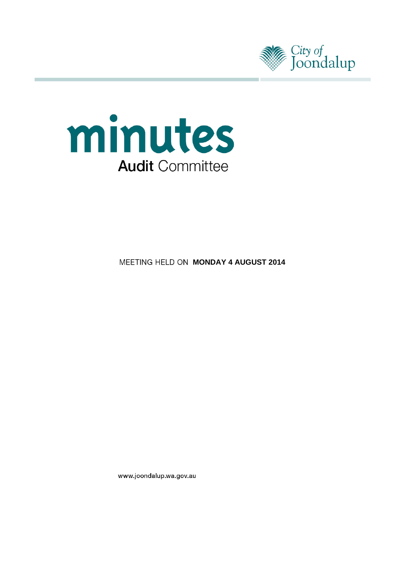



**MEETING HELD ON MONDAY 4 AUGUST 2014** 

www.joondalup.wa.gov.au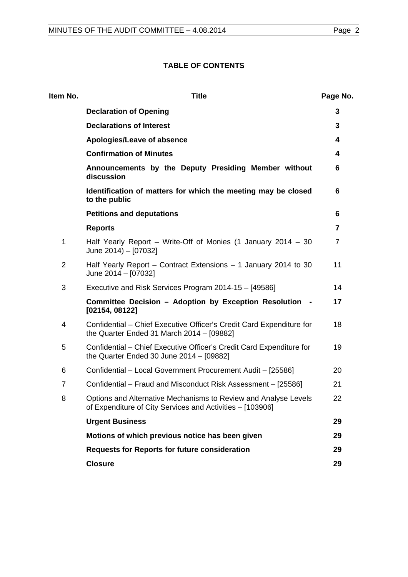# **TABLE OF CONTENTS**

| Item No. | <b>Title</b>                                                                                                                 | Page No. |  |
|----------|------------------------------------------------------------------------------------------------------------------------------|----------|--|
|          | <b>Declaration of Opening</b>                                                                                                | 3        |  |
|          | <b>Declarations of Interest</b>                                                                                              | 3        |  |
|          | Apologies/Leave of absence                                                                                                   | 4        |  |
|          | <b>Confirmation of Minutes</b>                                                                                               | 4        |  |
|          | Announcements by the Deputy Presiding Member without<br>discussion                                                           | 6        |  |
|          | Identification of matters for which the meeting may be closed<br>to the public                                               | 6        |  |
|          | <b>Petitions and deputations</b>                                                                                             | 6        |  |
|          | <b>Reports</b>                                                                                                               | 7        |  |
| 1        | Half Yearly Report – Write-Off of Monies (1 January 2014 – 30<br>June 2014) - [07032]                                        | 7        |  |
| 2        | Half Yearly Report – Contract Extensions – 1 January 2014 to 30<br>June 2014 - [07032]                                       |          |  |
| 3        | Executive and Risk Services Program 2014-15 - [49586]                                                                        | 14       |  |
|          | Committee Decision - Adoption by Exception Resolution -<br>[02154, 08122]                                                    | 17       |  |
| 4        | Confidential – Chief Executive Officer's Credit Card Expenditure for<br>the Quarter Ended 31 March 2014 - [09882]            | 18       |  |
| 5        | Confidential – Chief Executive Officer's Credit Card Expenditure for<br>the Quarter Ended 30 June 2014 - [09882]             | 19       |  |
| 6        | Confidential - Local Government Procurement Audit - [25586]                                                                  | 20       |  |
| 7        | Confidential – Fraud and Misconduct Risk Assessment – [25586]                                                                | 21       |  |
| 8        | Options and Alternative Mechanisms to Review and Analyse Levels<br>of Expenditure of City Services and Activities - [103906] | 22       |  |
|          | <b>Urgent Business</b>                                                                                                       | 29       |  |
|          | Motions of which previous notice has been given                                                                              | 29       |  |
|          | <b>Requests for Reports for future consideration</b>                                                                         | 29       |  |
|          | <b>Closure</b>                                                                                                               | 29       |  |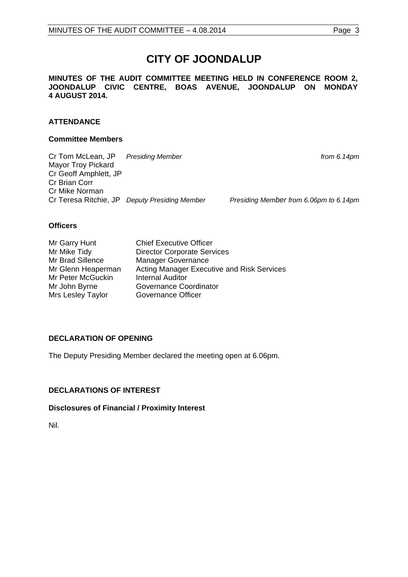# **CITY OF JOONDALUP**

**MINUTES OF THE AUDIT COMMITTEE MEETING HELD IN CONFERENCE ROOM 2, JOONDALUP CIVIC CENTRE, BOAS AVENUE, JOONDALUP ON MONDAY 4 AUGUST 2014.** 

# **ATTENDANCE**

### **Committee Members**

Cr Tom McLean, JP *Presiding Member from 6.14pm* Mayor Troy Pickard Cr Geoff Amphlett, JP Cr Brian Corr Cr Mike Norman Cr Teresa Ritchie, JP *Deputy Presiding Member Presiding Member from 6.06pm to 6.14pm*

### **Officers**

| Mr Garry Hunt      | <b>Chief Executive Officer</b>             |
|--------------------|--------------------------------------------|
| Mr Mike Tidy       | <b>Director Corporate Services</b>         |
| Mr Brad Sillence   | <b>Manager Governance</b>                  |
| Mr Glenn Heaperman | Acting Manager Executive and Risk Services |
| Mr Peter McGuckin  | <b>Internal Auditor</b>                    |
| Mr John Byrne      | Governance Coordinator                     |
| Mrs Lesley Taylor  | Governance Officer                         |

# <span id="page-2-0"></span>**DECLARATION OF OPENING**

The Deputy Presiding Member declared the meeting open at 6.06pm.

# <span id="page-2-1"></span>**DECLARATIONS OF INTEREST**

# **Disclosures of Financial / Proximity Interest**

Nil.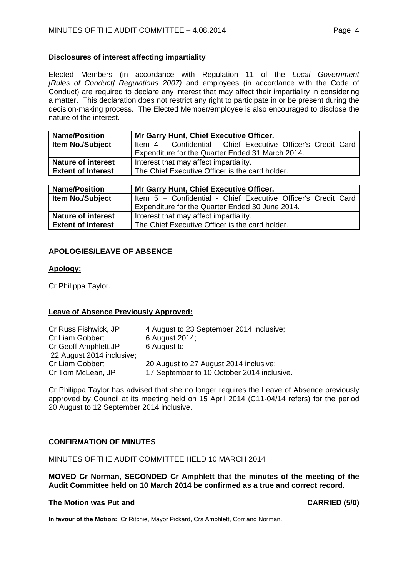# **Disclosures of interest affecting impartiality**

Elected Members (in accordance with Regulation 11 of the *Local Government [Rules of Conduct] Regulations 2007)* and employees (in accordance with the Code of Conduct) are required to declare any interest that may affect their impartiality in considering a matter. This declaration does not restrict any right to participate in or be present during the decision-making process. The Elected Member/employee is also encouraged to disclose the nature of the interest.

| <b>Name/Position</b>      | Mr Garry Hunt, Chief Executive Officer.                       |  |  |
|---------------------------|---------------------------------------------------------------|--|--|
| <b>Item No./Subject</b>   | Item 4 - Confidential - Chief Executive Officer's Credit Card |  |  |
|                           | Expenditure for the Quarter Ended 31 March 2014.              |  |  |
| <b>Nature of interest</b> | Interest that may affect impartiality.                        |  |  |
| <b>Extent of Interest</b> | The Chief Executive Officer is the card holder.               |  |  |

| <b>Name/Position</b>      | Mr Garry Hunt, Chief Executive Officer.                       |  |  |
|---------------------------|---------------------------------------------------------------|--|--|
| <b>Item No./Subject</b>   | Item 5 - Confidential - Chief Executive Officer's Credit Card |  |  |
|                           | Expenditure for the Quarter Ended 30 June 2014.               |  |  |
| <b>Nature of interest</b> | Interest that may affect impartiality.                        |  |  |
| <b>Extent of Interest</b> | The Chief Executive Officer is the card holder.               |  |  |

# <span id="page-3-0"></span>**APOLOGIES/LEAVE OF ABSENCE**

# **Apology:**

Cr Philippa Taylor.

# **Leave of Absence Previously Approved:**

| Cr Russ Fishwick, JP      | 4 August to 23 September 2014 inclusive;   |
|---------------------------|--------------------------------------------|
| Cr Liam Gobbert           | 6 August 2014;                             |
| Cr Geoff Amphlett, JP     | 6 August to                                |
| 22 August 2014 inclusive; |                                            |
| Cr Liam Gobbert           | 20 August to 27 August 2014 inclusive;     |
| Cr Tom McLean, JP         | 17 September to 10 October 2014 inclusive. |

Cr Philippa Taylor has advised that she no longer requires the Leave of Absence previously approved by Council at its meeting held on 15 April 2014 (C11-04/14 refers) for the period 20 August to 12 September 2014 inclusive.

# <span id="page-3-1"></span>**CONFIRMATION OF MINUTES**

# MINUTES OF THE AUDIT COMMITTEE HELD 10 MARCH 2014

**MOVED Cr Norman, SECONDED Cr Amphlett that the minutes of the meeting of the Audit Committee held on 10 March 2014 be confirmed as a true and correct record.**

# **The Motion was Put and CARRIED (5/0)**

**In favour of the Motion:** Cr Ritchie, Mayor Pickard, Crs Amphlett, Corr and Norman.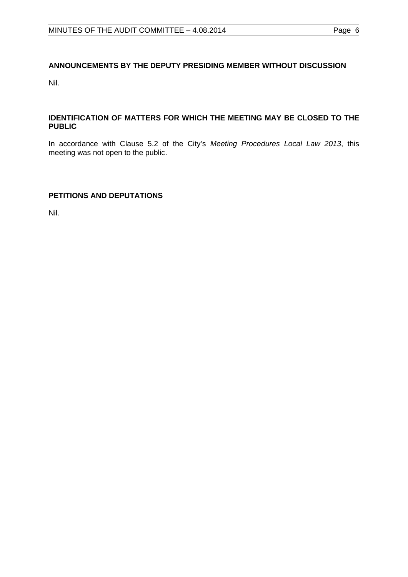# <span id="page-5-0"></span>**ANNOUNCEMENTS BY THE DEPUTY PRESIDING MEMBER WITHOUT DISCUSSION**

Nil.

# <span id="page-5-1"></span>**IDENTIFICATION OF MATTERS FOR WHICH THE MEETING MAY BE CLOSED TO THE PUBLIC**

In accordance with Clause 5.2 of the City's *Meeting Procedures Local Law 2013*, this meeting was not open to the public.

# <span id="page-5-2"></span>**PETITIONS AND DEPUTATIONS**

Nil.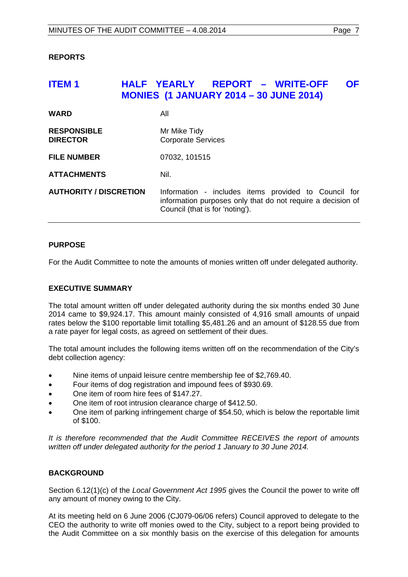# <span id="page-6-0"></span>**REPORTS**

# <span id="page-6-1"></span>**ITEM 1 HALF YEARLY REPORT – WRITE-OFF OF MONIES (1 JANUARY 2014 – 30 JUNE 2014)**

| <b>WARD</b>                           | All                                                                                                                                                    |
|---------------------------------------|--------------------------------------------------------------------------------------------------------------------------------------------------------|
| <b>RESPONSIBLE</b><br><b>DIRECTOR</b> | Mr Mike Tidy<br><b>Corporate Services</b>                                                                                                              |
| <b>FILE NUMBER</b>                    | 07032, 101515                                                                                                                                          |
| <b>ATTACHMENTS</b>                    | Nil.                                                                                                                                                   |
| <b>AUTHORITY / DISCRETION</b>         | Information - includes items provided to Council for<br>information purposes only that do not require a decision of<br>Council (that is for 'noting'). |

# **PURPOSE**

For the Audit Committee to note the amounts of monies written off under delegated authority.

# **EXECUTIVE SUMMARY**

The total amount written off under delegated authority during the six months ended 30 June 2014 came to \$9,924.17. This amount mainly consisted of 4,916 small amounts of unpaid rates below the \$100 reportable limit totalling \$5,481.26 and an amount of \$128.55 due from a rate payer for legal costs, as agreed on settlement of their dues.

The total amount includes the following items written off on the recommendation of the City's debt collection agency:

- Nine items of unpaid leisure centre membership fee of \$2,769.40.
- Four items of dog registration and impound fees of \$930.69.
- One item of room hire fees of \$147.27.
- One item of root intrusion clearance charge of \$412.50.
- One item of parking infringement charge of \$54.50, which is below the reportable limit of \$100.

*It is therefore recommended that the Audit Committee RECEIVES the report of amounts written off under delegated authority for the period 1 January to 30 June 2014.*

# **BACKGROUND**

Section 6.12(1)(c) of the *Local Government Act 1995* gives the Council the power to write off any amount of money owing to the City.

At its meeting held on 6 June 2006 (CJ079-06/06 refers) Council approved to delegate to the CEO the authority to write off monies owed to the City, subject to a report being provided to the Audit Committee on a six monthly basis on the exercise of this delegation for amounts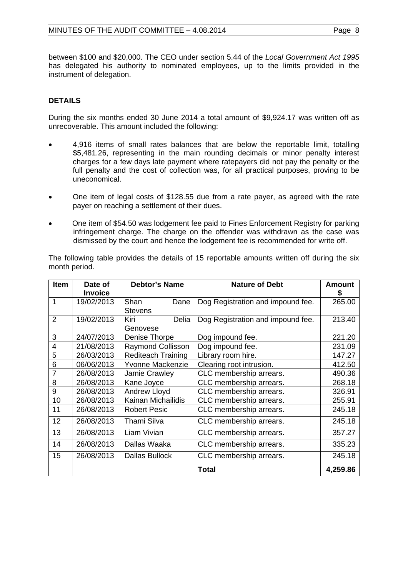between \$100 and \$20,000. The CEO under section 5.44 of the *Local Government Act 1995* has delegated his authority to nominated employees, up to the limits provided in the instrument of delegation.

# **DETAILS**

During the six months ended 30 June 2014 a total amount of \$9,924.17 was written off as unrecoverable. This amount included the following:

- 4,916 items of small rates balances that are below the reportable limit, totalling \$5,481.26, representing in the main rounding decimals or minor penalty interest charges for a few days late payment where ratepayers did not pay the penalty or the full penalty and the cost of collection was, for all practical purposes, proving to be uneconomical.
- One item of legal costs of \$128.55 due from a rate payer, as agreed with the rate payer on reaching a settlement of their dues.
- One item of \$54.50 was lodgement fee paid to Fines Enforcement Registry for parking infringement charge. The charge on the offender was withdrawn as the case was dismissed by the court and hence the lodgement fee is recommended for write off.

The following table provides the details of 15 reportable amounts written off during the six month period.

| Item           | Date of        | <b>Debtor's Name</b>      | <b>Nature of Debt</b>             | <b>Amount</b> |
|----------------|----------------|---------------------------|-----------------------------------|---------------|
|                | <b>Invoice</b> |                           |                                   | S             |
| 1              | 19/02/2013     | Shan<br>Dane              | Dog Registration and impound fee. | 265.00        |
|                |                | <b>Stevens</b>            |                                   |               |
| $\overline{2}$ | 19/02/2013     | Kiri<br>Delia             | Dog Registration and impound fee. | 213.40        |
|                |                | Genovese                  |                                   |               |
| 3              | 24/07/2013     | Denise Thorpe             | Dog impound fee.                  | 221.20        |
| 4              | 21/08/2013     | <b>Raymond Collisson</b>  | Dog impound fee.                  | 231.09        |
| 5              | 26/03/2013     | <b>Rediteach Training</b> | Library room hire.                | 147.27        |
| 6              | 06/06/2013     | Yvonne Mackenzie          | Clearing root intrusion.          | 412.50        |
| 7              | 26/08/2013     | Jamie Crawley             | CLC membership arrears.           | 490.36        |
| 8              | 26/08/2013     | Kane Joyce                | CLC membership arrears.           | 268.18        |
| 9              | 26/08/2013     | Andrew Lloyd              | CLC membership arrears.           | 326.91        |
| 10             | 26/08/2013     | Kainan Michailidis        | CLC membership arrears.           | 255.91        |
| 11             | 26/08/2013     | <b>Robert Pesic</b>       | CLC membership arrears.           | 245.18        |
| 12             | 26/08/2013     | Thami Silva               | CLC membership arrears.           | 245.18        |
| 13             | 26/08/2013     | Liam Vivian               | CLC membership arrears.           | 357.27        |
| 14             | 26/08/2013     | Dallas Waaka              | CLC membership arrears.           | 335.23        |
| 15             | 26/08/2013     | <b>Dallas Bullock</b>     | CLC membership arrears.           | 245.18        |
|                |                |                           | <b>Total</b>                      | 4,259.86      |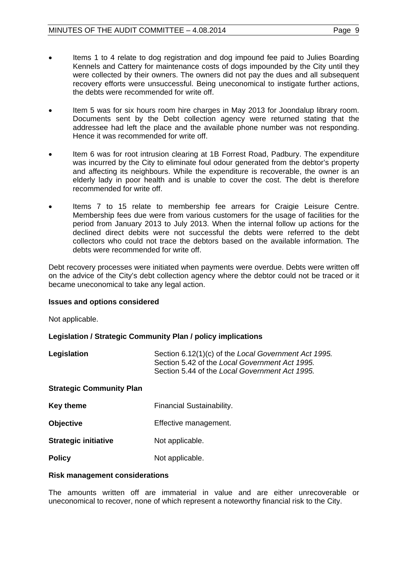- Items 1 to 4 relate to dog registration and dog impound fee paid to Julies Boarding Kennels and Cattery for maintenance costs of dogs impounded by the City until they were collected by their owners. The owners did not pay the dues and all subsequent recovery efforts were unsuccessful. Being uneconomical to instigate further actions, the debts were recommended for write off.
- Item 5 was for six hours room hire charges in May 2013 for Joondalup library room. Documents sent by the Debt collection agency were returned stating that the addressee had left the place and the available phone number was not responding. Hence it was recommended for write off.
- Item 6 was for root intrusion clearing at 1B Forrest Road, Padbury. The expenditure was incurred by the City to eliminate foul odour generated from the debtor's property and affecting its neighbours. While the expenditure is recoverable, the owner is an elderly lady in poor health and is unable to cover the cost. The debt is therefore recommended for write off.
- Items 7 to 15 relate to membership fee arrears for Craigie Leisure Centre. Membership fees due were from various customers for the usage of facilities for the period from January 2013 to July 2013. When the internal follow up actions for the declined direct debits were not successful the debts were referred to the debt collectors who could not trace the debtors based on the available information. The debts were recommended for write off.

Debt recovery processes were initiated when payments were overdue. Debts were written off on the advice of the City's debt collection agency where the debtor could not be traced or it became uneconomical to take any legal action.

# **Issues and options considered**

Not applicable.

# **Legislation / Strategic Community Plan / policy implications**

| Legislation | Section 6.12(1)(c) of the Local Government Act 1995. |
|-------------|------------------------------------------------------|
|             | Section 5.42 of the Local Government Act 1995.       |
|             | Section 5.44 of the Local Government Act 1995.       |

#### **Strategic Community Plan**

- **Key theme** Financial Sustainability.
- **Objective** Effective management.
- **Strategic initiative** Not applicable.
- **Policy** Not applicable.

# **Risk management considerations**

The amounts written off are immaterial in value and are either unrecoverable or uneconomical to recover, none of which represent a noteworthy financial risk to the City.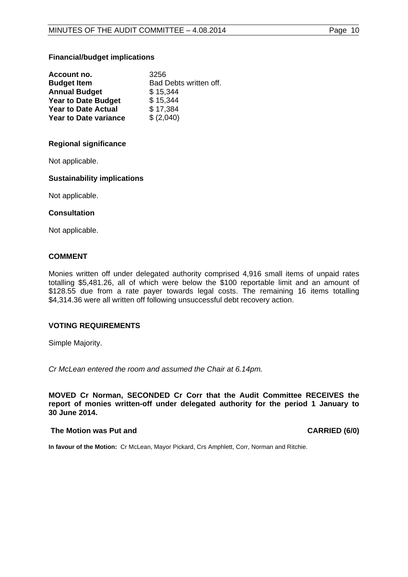### **Financial/budget implications**

| Account no.                  | 3256                   |
|------------------------------|------------------------|
| <b>Budget Item</b>           | Bad Debts written off. |
| <b>Annual Budget</b>         | \$15,344               |
| <b>Year to Date Budget</b>   | \$15,344               |
| <b>Year to Date Actual</b>   | \$17,384               |
| <b>Year to Date variance</b> | \$ (2,040)             |

### **Regional significance**

Not applicable.

### **Sustainability implications**

Not applicable.

#### **Consultation**

Not applicable.

# **COMMENT**

Monies written off under delegated authority comprised 4,916 small items of unpaid rates totalling \$5,481.26, all of which were below the \$100 reportable limit and an amount of \$128.55 due from a rate payer towards legal costs. The remaining 16 items totalling \$4,314.36 were all written off following unsuccessful debt recovery action.

# **VOTING REQUIREMENTS**

Simple Majority.

*Cr McLean entered the room and assumed the Chair at 6.14pm.*

**MOVED Cr Norman, SECONDED Cr Corr that the Audit Committee RECEIVES the report of monies written-off under delegated authority for the period 1 January to 30 June 2014.**

#### **The Motion was Put and CARRIED (6/0)**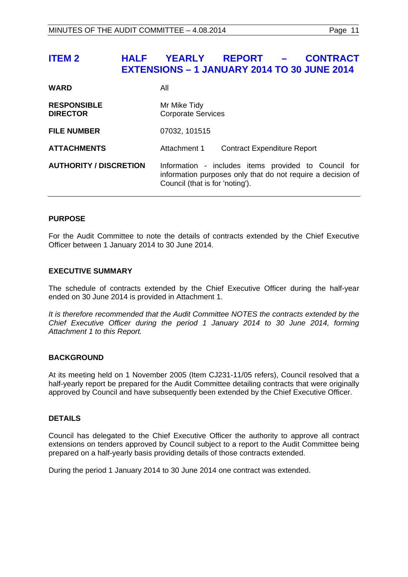# <span id="page-10-0"></span>**ITEM 2 HALF YEARLY REPORT – CONTRACT EXTENSIONS – 1 JANUARY 2014 TO 30 JUNE 2014**

| All                                                                                                                                                    |  |
|--------------------------------------------------------------------------------------------------------------------------------------------------------|--|
| Mr Mike Tidy<br><b>Corporate Services</b>                                                                                                              |  |
| 07032, 101515                                                                                                                                          |  |
| Attachment 1<br><b>Contract Expenditure Report</b>                                                                                                     |  |
| Information - includes items provided to Council for<br>information purposes only that do not require a decision of<br>Council (that is for 'noting'). |  |
|                                                                                                                                                        |  |

# **PURPOSE**

For the Audit Committee to note the details of contracts extended by the Chief Executive Officer between 1 January 2014 to 30 June 2014.

# **EXECUTIVE SUMMARY**

The schedule of contracts extended by the Chief Executive Officer during the half-year ended on 30 June 2014 is provided in Attachment 1.

*It is therefore recommended that the Audit Committee NOTES the contracts extended by the Chief Executive Officer during the period 1 January 2014 to 30 June 2014, forming Attachment 1 to this Report.*

# **BACKGROUND**

At its meeting held on 1 November 2005 (Item CJ231-11/05 refers), Council resolved that a half-yearly report be prepared for the Audit Committee detailing contracts that were originally approved by Council and have subsequently been extended by the Chief Executive Officer.

# **DETAILS**

Council has delegated to the Chief Executive Officer the authority to approve all contract extensions on tenders approved by Council subject to a report to the Audit Committee being prepared on a half-yearly basis providing details of those contracts extended.

During the period 1 January 2014 to 30 June 2014 one contract was extended.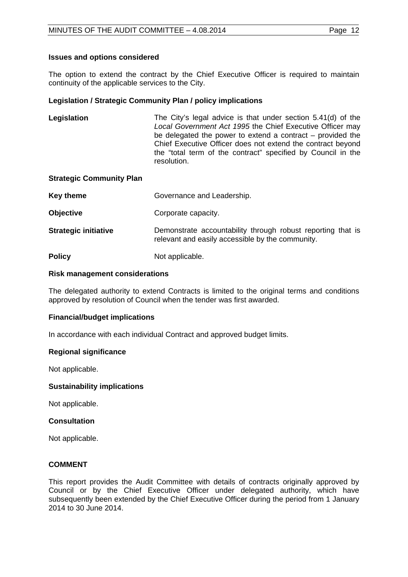# **Issues and options considered**

The option to extend the contract by the Chief Executive Officer is required to maintain continuity of the applicable services to the City.

# **Legislation / Strategic Community Plan / policy implications**

**Legislation** The City's legal advice is that under section 5.41(d) of the *Local Government Act 1995* the Chief Executive Officer may be delegated the power to extend a contract – provided the Chief Executive Officer does not extend the contract beyond the "total term of the contract" specified by Council in the resolution.

### **Strategic Community Plan**

| Key theme                   | Governance and Leadership.                                                                                      |  |
|-----------------------------|-----------------------------------------------------------------------------------------------------------------|--|
| <b>Objective</b>            | Corporate capacity.                                                                                             |  |
| <b>Strategic initiative</b> | Demonstrate accountability through robust reporting that is<br>relevant and easily accessible by the community. |  |
| <b>Policy</b>               | Not applicable.                                                                                                 |  |

### **Risk management considerations**

The delegated authority to extend Contracts is limited to the original terms and conditions approved by resolution of Council when the tender was first awarded.

# **Financial/budget implications**

In accordance with each individual Contract and approved budget limits.

# **Regional significance**

Not applicable.

# **Sustainability implications**

Not applicable.

# **Consultation**

Not applicable.

# **COMMENT**

This report provides the Audit Committee with details of contracts originally approved by Council or by the Chief Executive Officer under delegated authority, which have subsequently been extended by the Chief Executive Officer during the period from 1 January 2014 to 30 June 2014.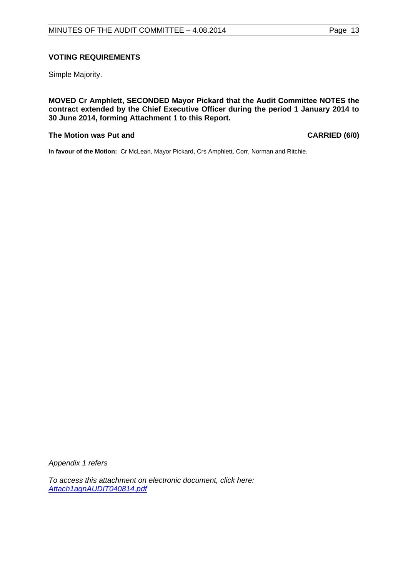# **VOTING REQUIREMENTS**

Simple Majority.

**MOVED Cr Amphlett, SECONDED Mayor Pickard that the Audit Committee NOTES the contract extended by the Chief Executive Officer during the period 1 January 2014 to 30 June 2014, forming Attachment 1 to this Report.**

#### **The Motion was Put and CARRIED (6/0)**

**In favour of the Motion:** Cr McLean, Mayor Pickard, Crs Amphlett, Corr, Norman and Ritchie.

*Appendix 1 refers*

*[To access this attachment on electronic document, click here:](http://www.joondalup.wa.gov.au/files/committees/AUDT/2014/Attach1agnAUDIT040814.pdf)  Attach1agnAUDIT040814.pdf*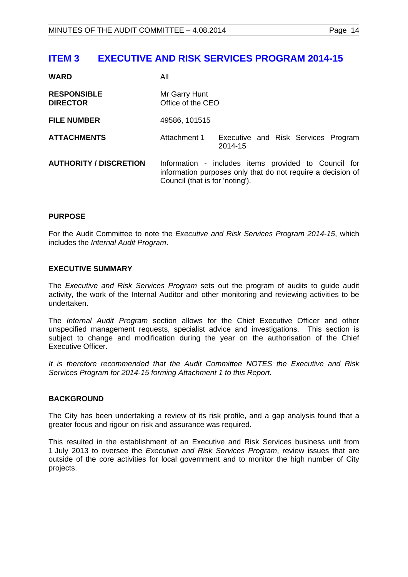# <span id="page-13-0"></span>**ITEM 3 EXECUTIVE AND RISK SERVICES PROGRAM 2014-15**

| <b>WARD</b>                           | All                                                                                                                                                    |                                                |  |
|---------------------------------------|--------------------------------------------------------------------------------------------------------------------------------------------------------|------------------------------------------------|--|
| <b>RESPONSIBLE</b><br><b>DIRECTOR</b> | Mr Garry Hunt<br>Office of the CEO                                                                                                                     |                                                |  |
| <b>FILE NUMBER</b>                    | 49586, 101515                                                                                                                                          |                                                |  |
| <b>ATTACHMENTS</b>                    | Attachment 1                                                                                                                                           | Executive and Risk Services Program<br>2014-15 |  |
| <b>AUTHORITY / DISCRETION</b>         | Information - includes items provided to Council for<br>information purposes only that do not require a decision of<br>Council (that is for 'noting'). |                                                |  |

# **PURPOSE**

For the Audit Committee to note the *Executive and Risk Services Program 2014-15*, which includes the *Internal Audit Program*.

# **EXECUTIVE SUMMARY**

The *Executive and Risk Services Program* sets out the program of audits to guide audit activity, the work of the Internal Auditor and other monitoring and reviewing activities to be undertaken.

The *Internal Audit Program* section allows for the Chief Executive Officer and other unspecified management requests, specialist advice and investigations. This section is subject to change and modification during the year on the authorisation of the Chief Executive Officer.

*It is therefore recommended that the Audit Committee NOTES the Executive and Risk Services Program for 2014-15 forming Attachment 1 to this Report.*

# **BACKGROUND**

The City has been undertaking a review of its risk profile, and a gap analysis found that a greater focus and rigour on risk and assurance was required.

This resulted in the establishment of an Executive and Risk Services business unit from 1 July 2013 to oversee the *Executive and Risk Services Program*, review issues that are outside of the core activities for local government and to monitor the high number of City projects.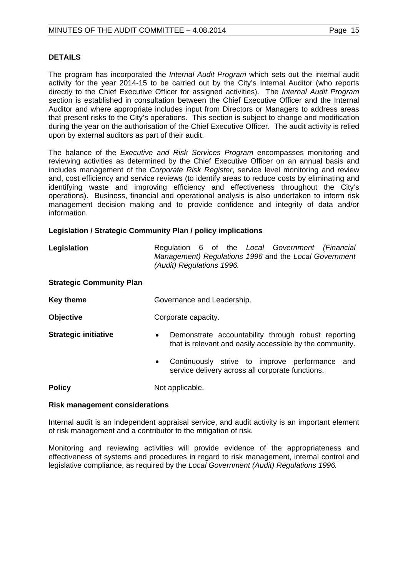## **DETAILS**

The program has incorporated the *Internal Audit Program* which sets out the internal audit activity for the year 2014-15 to be carried out by the City's Internal Auditor (who reports directly to the Chief Executive Officer for assigned activities). The *Internal Audit Program* section is established in consultation between the Chief Executive Officer and the Internal Auditor and where appropriate includes input from Directors or Managers to address areas that present risks to the City's operations. This section is subject to change and modification during the year on the authorisation of the Chief Executive Officer. The audit activity is relied upon by external auditors as part of their audit.

The balance of the *Executive and Risk Services Program* encompasses monitoring and reviewing activities as determined by the Chief Executive Officer on an annual basis and includes management of the *Corporate Risk Register*, service level monitoring and review and, cost efficiency and service reviews (to identify areas to reduce costs by eliminating and identifying waste and improving efficiency and effectiveness throughout the City's operations). Business, financial and operational analysis is also undertaken to inform risk management decision making and to provide confidence and integrity of data and/or information.

# **Legislation / Strategic Community Plan / policy implications**

| Legislation |                           |  |  | Regulation 6 of the Local Government (Financial       |  |
|-------------|---------------------------|--|--|-------------------------------------------------------|--|
|             |                           |  |  | Management) Regulations 1996 and the Local Government |  |
|             | (Audit) Regulations 1996. |  |  |                                                       |  |

#### **Strategic Community Plan**

| <b>Key theme</b> | Governance and Leadership. |
|------------------|----------------------------|
|------------------|----------------------------|

- **Objective Corporate capacity.**
- 
- **Strategic initiative •** Demonstrate accountability through robust reporting that is relevant and easily accessible by the community.
	- Continuously strive to improve performance and service delivery across all corporate functions.

**Policy** Not applicable.

#### **Risk management considerations**

Internal audit is an independent appraisal service, and audit activity is an important element of risk management and a contributor to the mitigation of risk.

Monitoring and reviewing activities will provide evidence of the appropriateness and effectiveness of systems and procedures in regard to risk management, internal control and legislative compliance, as required by the *Local Government (Audit) Regulations 1996.*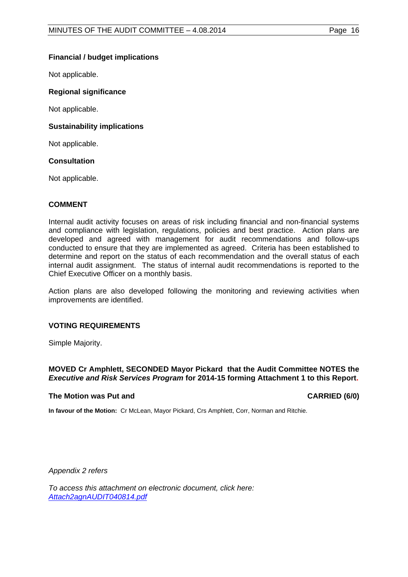# **Financial / budget implications**

Not applicable.

# **Regional significance**

Not applicable.

# **Sustainability implications**

Not applicable.

# **Consultation**

Not applicable.

# **COMMENT**

Internal audit activity focuses on areas of risk including financial and non-financial systems and compliance with legislation, regulations, policies and best practice. Action plans are developed and agreed with management for audit recommendations and follow-ups conducted to ensure that they are implemented as agreed. Criteria has been established to determine and report on the status of each recommendation and the overall status of each internal audit assignment. The status of internal audit recommendations is reported to the Chief Executive Officer on a monthly basis.

Action plans are also developed following the monitoring and reviewing activities when improvements are identified.

# **VOTING REQUIREMENTS**

Simple Majority.

# **MOVED Cr Amphlett, SECONDED Mayor Pickard that the Audit Committee NOTES the**  *Executive and Risk Services Program* **for 2014-15 forming Attachment 1 to this Report.**

# **The Motion was Put and CARRIED (6/0)**

**In favour of the Motion:** Cr McLean, Mayor Pickard, Crs Amphlett, Corr, Norman and Ritchie.

*Appendix 2 refers*

*[To access this attachment on electronic document, click here:](http://www.joondalup.wa.gov.au/files/committees/AUDT/2014/Attach2agnAUDIT040814.pdf) Attach2agnAUDIT040814.pdf*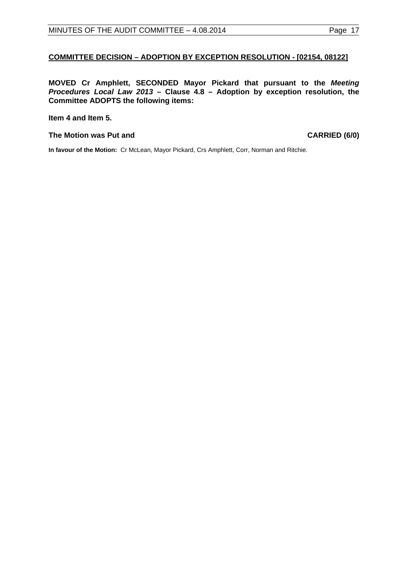# <span id="page-16-0"></span>**COMMITTEE DECISION – ADOPTION BY EXCEPTION RESOLUTION - [02154, 08122]**

**MOVED Cr Amphlett, SECONDED Mayor Pickard that pursuant to the** *Meeting Procedures Local Law 2013* **– Clause 4.8 – Adoption by exception resolution, the Committee ADOPTS the following items:**

#### **Item 4 and Item 5.**

### **The Motion was Put and CARRIED (6/0)**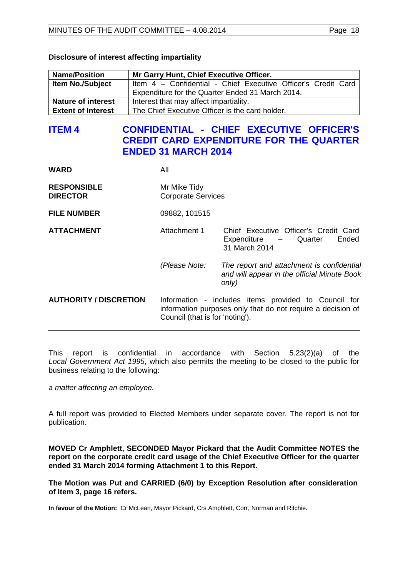| <b>Name/Position</b>      | Mr Garry Hunt, Chief Executive Officer.                       |
|---------------------------|---------------------------------------------------------------|
| <b>Item No./Subject</b>   | Item 4 - Confidential - Chief Executive Officer's Credit Card |
|                           | Expenditure for the Quarter Ended 31 March 2014.              |
| <b>Nature of interest</b> | Interest that may affect impartiality.                        |
| <b>Extent of Interest</b> | The Chief Executive Officer is the card holder.               |

# **Disclosure of interest affecting impartiality**

# <span id="page-17-0"></span>**ITEM 4 CONFIDENTIAL - CHIEF EXECUTIVE OFFICER'S CREDIT CARD EXPENDITURE FOR THE QUARTER ENDED 31 MARCH 2014**

| <b>WARD</b>                           | All                                                                                                                                                    |                                                                                                   |  |
|---------------------------------------|--------------------------------------------------------------------------------------------------------------------------------------------------------|---------------------------------------------------------------------------------------------------|--|
| <b>RESPONSIBLE</b><br><b>DIRECTOR</b> | Mr Mike Tidy<br><b>Corporate Services</b>                                                                                                              |                                                                                                   |  |
| <b>FILE NUMBER</b>                    | 09882, 101515                                                                                                                                          |                                                                                                   |  |
| <b>ATTACHMENT</b>                     | Attachment 1                                                                                                                                           | Chief Executive Officer's Credit Card<br>Expenditure - Quarter<br>Ended<br>31 March 2014          |  |
|                                       | (Please Note:                                                                                                                                          | The report and attachment is confidential<br>and will appear in the official Minute Book<br>only) |  |
| <b>AUTHORITY / DISCRETION</b>         | Information - includes items provided to Council for<br>information purposes only that do not require a decision of<br>Council (that is for 'noting'). |                                                                                                   |  |

This report is confidential in accordance with Section 5.23(2)(a) of the *Local Government Act 1995*, which also permits the meeting to be closed to the public for business relating to the following:

*a matter affecting an employee.*

A full report was provided to Elected Members under separate cover. The report is not for publication.

**MOVED Cr Amphlett, SECONDED Mayor Pickard that the Audit Committee NOTES the report on the corporate credit card usage of the Chief Executive Officer for the quarter ended 31 March 2014 forming Attachment 1 to this Report.**

**The Motion was Put and CARRIED (6/0) by Exception Resolution after consideration of Item 3, page 16 refers.**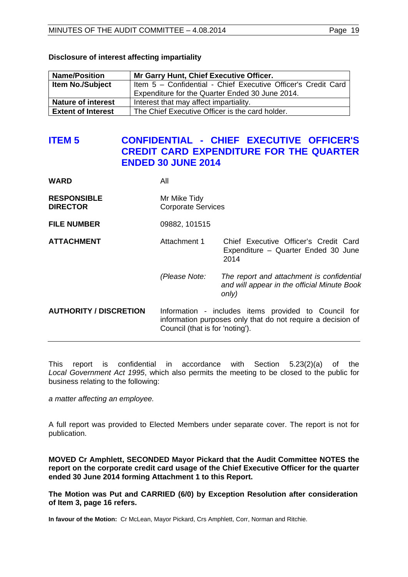| <b>Name/Position</b>      | Mr Garry Hunt, Chief Executive Officer.                       |
|---------------------------|---------------------------------------------------------------|
| <b>Item No./Subject</b>   | Item 5 - Confidential - Chief Executive Officer's Credit Card |
|                           | Expenditure for the Quarter Ended 30 June 2014.               |
| <b>Nature of interest</b> | Interest that may affect impartiality.                        |
| <b>Extent of Interest</b> | The Chief Executive Officer is the card holder.               |

## **Disclosure of interest affecting impartiality**

# <span id="page-18-0"></span>**ITEM 5 CONFIDENTIAL - CHIEF EXECUTIVE OFFICER'S CREDIT CARD EXPENDITURE FOR THE QUARTER ENDED 30 JUNE 2014**

| <b>WARD</b>                           | All                                                                                                                                                    |                                                                                                   |  |
|---------------------------------------|--------------------------------------------------------------------------------------------------------------------------------------------------------|---------------------------------------------------------------------------------------------------|--|
| <b>RESPONSIBLE</b><br><b>DIRECTOR</b> | Mr Mike Tidy<br><b>Corporate Services</b>                                                                                                              |                                                                                                   |  |
| <b>FILE NUMBER</b>                    | 09882, 101515                                                                                                                                          |                                                                                                   |  |
| <b>ATTACHMENT</b>                     | Attachment 1                                                                                                                                           | Chief Executive Officer's Credit Card<br>Expenditure - Quarter Ended 30 June<br>2014              |  |
|                                       | (Please Note:                                                                                                                                          | The report and attachment is confidential<br>and will appear in the official Minute Book<br>only) |  |
| <b>AUTHORITY / DISCRETION</b>         | Information - includes items provided to Council for<br>information purposes only that do not require a decision of<br>Council (that is for 'noting'). |                                                                                                   |  |

This report is confidential in accordance with Section 5.23(2)(a) of the *Local Government Act 1995*, which also permits the meeting to be closed to the public for business relating to the following:

*a matter affecting an employee.*

A full report was provided to Elected Members under separate cover. The report is not for publication.

**MOVED Cr Amphlett, SECONDED Mayor Pickard that the Audit Committee NOTES the report on the corporate credit card usage of the Chief Executive Officer for the quarter ended 30 June 2014 forming Attachment 1 to this Report.**

**The Motion was Put and CARRIED (6/0) by Exception Resolution after consideration of Item 3, page 16 refers.**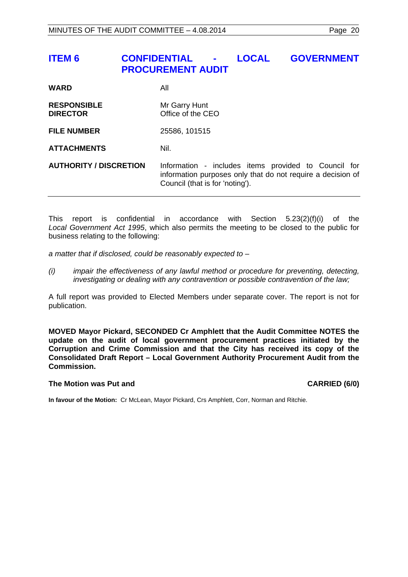# <span id="page-19-0"></span>**ITEM 6 CONFIDENTIAL - LOCAL GOVERNMENT PROCUREMENT AUDIT**

| <b>WARD</b>                           | All                                                                                                                                                    |
|---------------------------------------|--------------------------------------------------------------------------------------------------------------------------------------------------------|
| <b>RESPONSIBLE</b><br><b>DIRECTOR</b> | Mr Garry Hunt<br>Office of the CEO                                                                                                                     |
| <b>FILE NUMBER</b>                    | 25586, 101515                                                                                                                                          |
| <b>ATTACHMENTS</b>                    | Nil.                                                                                                                                                   |
| <b>AUTHORITY / DISCRETION</b>         | Information - includes items provided to Council for<br>information purposes only that do not require a decision of<br>Council (that is for 'noting'). |

This report is confidential in accordance with Section 5.23(2)(f)(i) of the *Local Government Act 1995*, which also permits the meeting to be closed to the public for business relating to the following:

*a matter that if disclosed, could be reasonably expected to –*

*(i) impair the effectiveness of any lawful method or procedure for preventing, detecting, investigating or dealing with any contravention or possible contravention of the law;*

A full report was provided to Elected Members under separate cover. The report is not for publication.

**MOVED Mayor Pickard, SECONDED Cr Amphlett that the Audit Committee NOTES the update on the audit of local government procurement practices initiated by the Corruption and Crime Commission and that the City has received its copy of the Consolidated Draft Report – Local Government Authority Procurement Audit from the Commission.**

# **The Motion was Put and CARRIED (6/0)**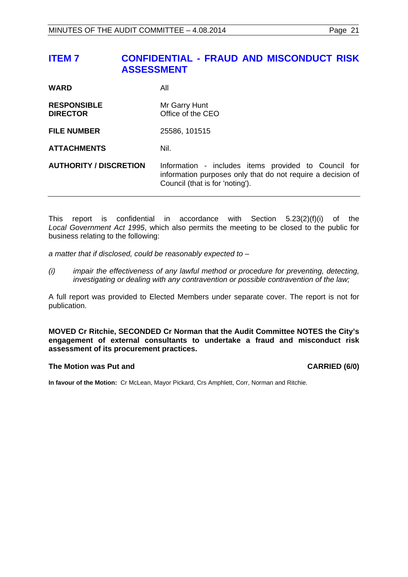# <span id="page-20-0"></span>**ITEM 7 CONFIDENTIAL - FRAUD AND MISCONDUCT RISK ASSESSMENT**

| <b>WARD</b>                           | All                                                                                                                                                    |
|---------------------------------------|--------------------------------------------------------------------------------------------------------------------------------------------------------|
| <b>RESPONSIBLE</b><br><b>DIRECTOR</b> | Mr Garry Hunt<br>Office of the CEO                                                                                                                     |
| <b>FILE NUMBER</b>                    | 25586, 101515                                                                                                                                          |
| <b>ATTACHMENTS</b>                    | Nil.                                                                                                                                                   |
| <b>AUTHORITY / DISCRETION</b>         | Information - includes items provided to Council for<br>information purposes only that do not require a decision of<br>Council (that is for 'noting'). |

This report is confidential in accordance with Section 5.23(2)(f)(i) of the *Local Government Act 1995*, which also permits the meeting to be closed to the public for business relating to the following:

*a matter that if disclosed, could be reasonably expected to –*

*(i) impair the effectiveness of any lawful method or procedure for preventing, detecting, investigating or dealing with any contravention or possible contravention of the law;*

A full report was provided to Elected Members under separate cover. The report is not for publication.

**MOVED Cr Ritchie, SECONDED Cr Norman that the Audit Committee NOTES the City's engagement of external consultants to undertake a fraud and misconduct risk assessment of its procurement practices.**

#### **The Motion was Put and CARRIED (6/0)**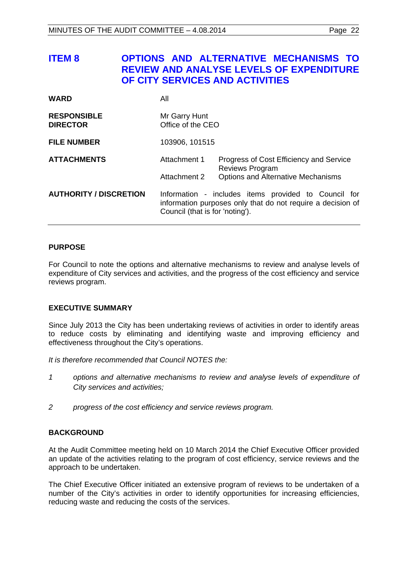<span id="page-21-0"></span>

| <b>ITEM 8</b>                         | <b>OPTIONS AND ALTERNATIVE MECHANISMS TO</b><br><b>REVIEW AND ANALYSE LEVELS OF EXPENDITURE</b><br>OF CITY SERVICES AND ACTIVITIES |                                    |                                                                                                                                                        |  |  |
|---------------------------------------|------------------------------------------------------------------------------------------------------------------------------------|------------------------------------|--------------------------------------------------------------------------------------------------------------------------------------------------------|--|--|
| <b>WARD</b>                           | All                                                                                                                                |                                    |                                                                                                                                                        |  |  |
| <b>RESPONSIBLE</b><br><b>DIRECTOR</b> |                                                                                                                                    | Mr Garry Hunt<br>Office of the CEO |                                                                                                                                                        |  |  |
| <b>FILE NUMBER</b>                    |                                                                                                                                    | 103906, 101515                     |                                                                                                                                                        |  |  |
| <b>ATTACHMENTS</b>                    |                                                                                                                                    | Attachment 1<br>Attachment 2       | Progress of Cost Efficiency and Service<br><b>Reviews Program</b><br><b>Options and Alternative Mechanisms</b>                                         |  |  |
| <b>AUTHORITY / DISCRETION</b>         |                                                                                                                                    |                                    | Information - includes items provided to Council for<br>information purposes only that do not require a decision of<br>Council (that is for 'noting'). |  |  |

# **PURPOSE**

For Council to note the options and alternative mechanisms to review and analyse levels of expenditure of City services and activities, and the progress of the cost efficiency and service reviews program.

# **EXECUTIVE SUMMARY**

Since July 2013 the City has been undertaking reviews of activities in order to identify areas to reduce costs by eliminating and identifying waste and improving efficiency and effectiveness throughout the City's operations.

*It is therefore recommended that Council NOTES the:*

- *1 options and alternative mechanisms to review and analyse levels of expenditure of City services and activities;*
- *2 progress of the cost efficiency and service reviews program.*

# **BACKGROUND**

At the Audit Committee meeting held on 10 March 2014 the Chief Executive Officer provided an update of the activities relating to the program of cost efficiency, service reviews and the approach to be undertaken.

The Chief Executive Officer initiated an extensive program of reviews to be undertaken of a number of the City's activities in order to identify opportunities for increasing efficiencies, reducing waste and reducing the costs of the services.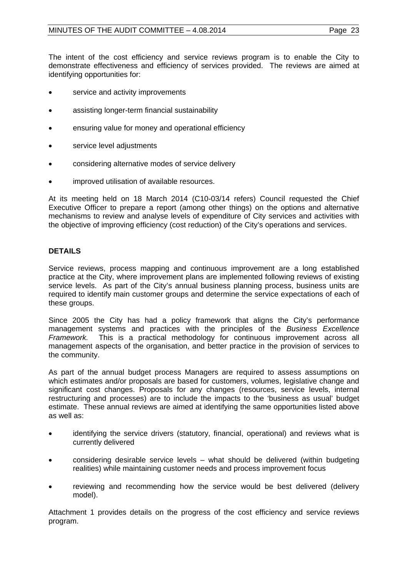The intent of the cost efficiency and service reviews program is to enable the City to demonstrate effectiveness and efficiency of services provided. The reviews are aimed at identifying opportunities for:

- service and activity improvements
- assisting longer-term financial sustainability
- ensuring value for money and operational efficiency
- service level adjustments
- considering alternative modes of service delivery
- improved utilisation of available resources.

At its meeting held on 18 March 2014 (C10-03/14 refers) Council requested the Chief Executive Officer to prepare a report (among other things) on the options and alternative mechanisms to review and analyse levels of expenditure of City services and activities with the objective of improving efficiency (cost reduction) of the City's operations and services.

### **DETAILS**

Service reviews, process mapping and continuous improvement are a long established practice at the City, where improvement plans are implemented following reviews of existing service levels. As part of the City's annual business planning process, business units are required to identify main customer groups and determine the service expectations of each of these groups.

Since 2005 the City has had a policy framework that aligns the City's performance management systems and practices with the principles of the *Business Excellence Framework.* This is a practical methodology for continuous improvement across all management aspects of the organisation, and better practice in the provision of services to the community.

As part of the annual budget process Managers are required to assess assumptions on which estimates and/or proposals are based for customers, volumes, legislative change and significant cost changes. Proposals for any changes (resources, service levels, internal restructuring and processes) are to include the impacts to the 'business as usual' budget estimate. These annual reviews are aimed at identifying the same opportunities listed above as well as:

- identifying the service drivers (statutory, financial, operational) and reviews what is currently delivered
- considering desirable service levels what should be delivered (within budgeting realities) while maintaining customer needs and process improvement focus
- reviewing and recommending how the service would be best delivered (delivery model).

Attachment 1 provides details on the progress of the cost efficiency and service reviews program.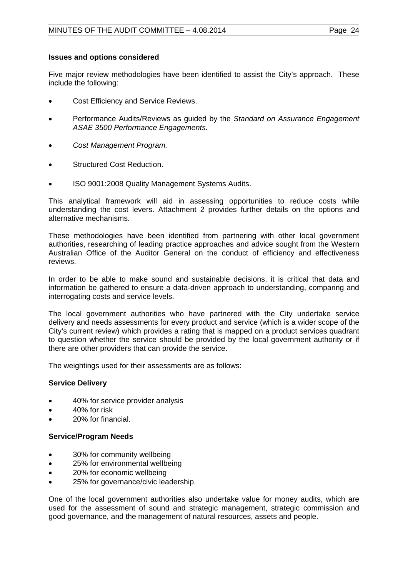# **Issues and options considered**

Five major review methodologies have been identified to assist the City's approach. These include the following:

- Cost Efficiency and Service Reviews.
- Performance Audits/Reviews as guided by the *Standard on Assurance Engagement ASAE 3500 Performance Engagements.*
- *Cost Management Program.*
- Structured Cost Reduction.
- ISO 9001:2008 Quality Management Systems Audits.

This analytical framework will aid in assessing opportunities to reduce costs while understanding the cost levers. Attachment 2 provides further details on the options and alternative mechanisms.

These methodologies have been identified from partnering with other local government authorities, researching of leading practice approaches and advice sought from the Western Australian Office of the Auditor General on the conduct of efficiency and effectiveness reviews.

In order to be able to make sound and sustainable decisions, it is critical that data and information be gathered to ensure a data-driven approach to understanding, comparing and interrogating costs and service levels.

The local government authorities who have partnered with the City undertake service delivery and needs assessments for every product and service (which is a wider scope of the City's current review) which provides a rating that is mapped on a product services quadrant to question whether the service should be provided by the local government authority or if there are other providers that can provide the service.

The weightings used for their assessments are as follows:

# **Service Delivery**

- 40% for service provider analysis
- 40% for risk
- 20% for financial.

# **Service/Program Needs**

- 30% for community wellbeing
- 25% for environmental wellbeing
- 20% for economic wellbeing
- 25% for governance/civic leadership.

One of the local government authorities also undertake value for money audits, which are used for the assessment of sound and strategic management, strategic commission and good governance, and the management of natural resources, assets and people.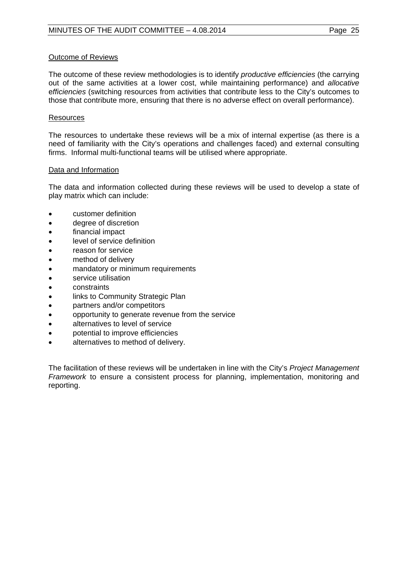## Outcome of Reviews

The outcome of these review methodologies is to identify *productive efficiencies* (the carrying out of the same activities at a lower cost, while maintaining performance) and *allocative* e*fficiencies* (switching resources from activities that contribute less to the City's outcomes to those that contribute more, ensuring that there is no adverse effect on overall performance).

## **Resources**

The resources to undertake these reviews will be a mix of internal expertise (as there is a need of familiarity with the City's operations and challenges faced) and external consulting firms. Informal multi-functional teams will be utilised where appropriate.

### Data and Information

The data and information collected during these reviews will be used to develop a state of play matrix which can include:

- customer definition
- degree of discretion
- financial impact
- level of service definition
- reason for service
- method of delivery
- mandatory or minimum requirements
- service utilisation
- constraints
- links to Community Strategic Plan
- partners and/or competitors
- opportunity to generate revenue from the service
- alternatives to level of service
- potential to improve efficiencies
- alternatives to method of delivery.

The facilitation of these reviews will be undertaken in line with the City's *Project Management Framework* to ensure a consistent process for planning, implementation, monitoring and reporting.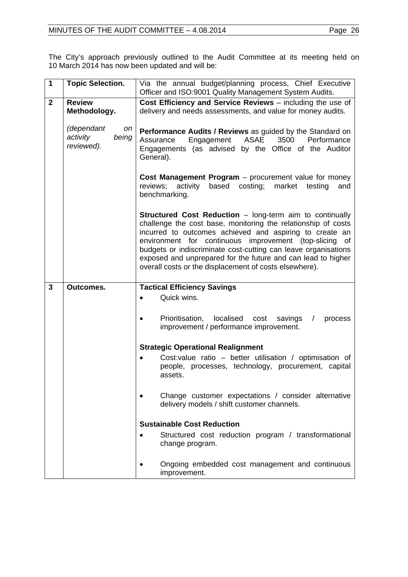The City's approach previously outlined to the Audit Committee at its meeting held on 10 March 2014 has now been updated and will be:

| 1              | <b>Topic Selection.</b>                             | Via the annual budget/planning process, Chief Executive<br>Officer and ISO:9001 Quality Management System Audits.                                                                                                                                                                                                                                                                                                                                 |  |  |  |
|----------------|-----------------------------------------------------|---------------------------------------------------------------------------------------------------------------------------------------------------------------------------------------------------------------------------------------------------------------------------------------------------------------------------------------------------------------------------------------------------------------------------------------------------|--|--|--|
| $\overline{2}$ | <b>Review</b><br>Methodology.                       | Cost Efficiency and Service Reviews - including the use of<br>delivery and needs assessments, and value for money audits.                                                                                                                                                                                                                                                                                                                         |  |  |  |
|                | (dependant<br>on<br>activity<br>being<br>reviewed). | Performance Audits / Reviews as guided by the Standard on<br>Engagement ASAE<br>3500<br>Performance<br>Assurance<br>Engagements (as advised by the Office of the Auditor<br>General).                                                                                                                                                                                                                                                             |  |  |  |
|                |                                                     | Cost Management Program - procurement value for money<br>activity<br>based<br>costing;<br>reviews;<br>market<br>testing<br>and<br>benchmarking.                                                                                                                                                                                                                                                                                                   |  |  |  |
|                |                                                     | <b>Structured Cost Reduction - long-term aim to continually</b><br>challenge the cost base, monitoring the relationship of costs<br>incurred to outcomes achieved and aspiring to create an<br>environment for continuous improvement (top-slicing of<br>budgets or indiscriminate cost-cutting can leave organisations<br>exposed and unprepared for the future and can lead to higher<br>overall costs or the displacement of costs elsewhere). |  |  |  |
| 3              | <b>Outcomes.</b>                                    | <b>Tactical Efficiency Savings</b>                                                                                                                                                                                                                                                                                                                                                                                                                |  |  |  |
|                |                                                     | Quick wins.<br>$\bullet$                                                                                                                                                                                                                                                                                                                                                                                                                          |  |  |  |
|                |                                                     | Prioritisation,<br>localised<br>cost<br>savings<br>process<br>$\prime$<br>improvement / performance improvement.                                                                                                                                                                                                                                                                                                                                  |  |  |  |
|                |                                                     | <b>Strategic Operational Realignment</b>                                                                                                                                                                                                                                                                                                                                                                                                          |  |  |  |
|                |                                                     | Cost:value ratio - better utilisation / optimisation of<br>people, processes, technology, procurement, capital<br>assets.                                                                                                                                                                                                                                                                                                                         |  |  |  |
|                |                                                     | Change customer expectations / consider alternative<br>delivery models / shift customer channels.                                                                                                                                                                                                                                                                                                                                                 |  |  |  |
|                |                                                     | <b>Sustainable Cost Reduction</b>                                                                                                                                                                                                                                                                                                                                                                                                                 |  |  |  |
|                |                                                     | Structured cost reduction program / transformational<br>$\bullet$<br>change program.                                                                                                                                                                                                                                                                                                                                                              |  |  |  |
|                |                                                     | Ongoing embedded cost management and continuous<br>improvement.                                                                                                                                                                                                                                                                                                                                                                                   |  |  |  |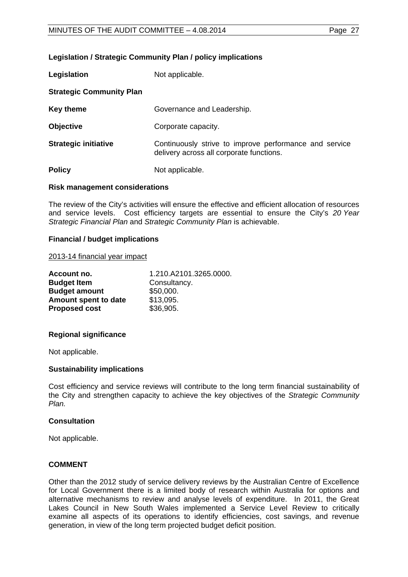# **Legislation / Strategic Community Plan / policy implications**

| Legislation                     | Not applicable.                                                                                    |
|---------------------------------|----------------------------------------------------------------------------------------------------|
| <b>Strategic Community Plan</b> |                                                                                                    |
| Key theme                       | Governance and Leadership.                                                                         |
| <b>Objective</b>                | Corporate capacity.                                                                                |
| <b>Strategic initiative</b>     | Continuously strive to improve performance and service<br>delivery across all corporate functions. |
| <b>Policy</b>                   | Not applicable.                                                                                    |

# **Risk management considerations**

The review of the City's activities will ensure the effective and efficient allocation of resources and service levels. Cost efficiency targets are essential to ensure the City's *20 Year Strategic Financial Plan* and *Strategic Community Plan* is achievable.

### **Financial / budget implications**

#### 2013-14 financial year impact

| 1.210.A2101.3265.0000. |
|------------------------|
| Consultancy.           |
| \$50,000.              |
| \$13,095.              |
| \$36,905.              |
|                        |

# **Regional significance**

Not applicable.

# **Sustainability implications**

Cost efficiency and service reviews will contribute to the long term financial sustainability of the City and strengthen capacity to achieve the key objectives of the *Strategic Community Plan.*

#### **Consultation**

Not applicable.

# **COMMENT**

Other than the 2012 study of service delivery reviews by the Australian Centre of Excellence for Local Government there is a limited body of research within Australia for options and alternative mechanisms to review and analyse levels of expenditure. In 2011, the Great Lakes Council in New South Wales implemented a Service Level Review to critically examine all aspects of its operations to identify efficiencies, cost savings, and revenue generation, in view of the long term projected budget deficit position.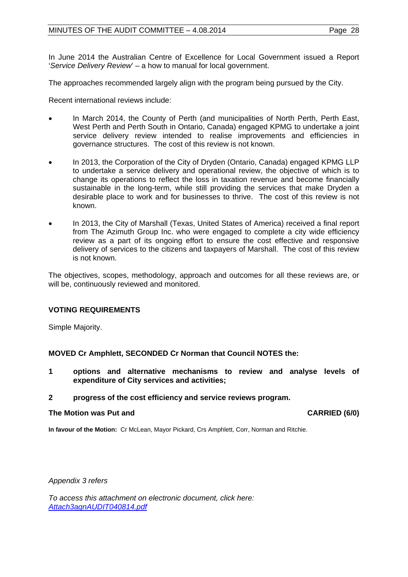In June 2014 the Australian Centre of Excellence for Local Government issued a Report '*Service Delivery Review*' – a how to manual for local government.

The approaches recommended largely align with the program being pursued by the City.

Recent international reviews include:

- In March 2014, the County of Perth (and municipalities of North Perth, Perth East, West Perth and Perth South in Ontario, Canada) engaged KPMG to undertake a joint service delivery review intended to realise improvements and efficiencies in governance structures. The cost of this review is not known.
- In 2013, the Corporation of the City of Dryden (Ontario, Canada) engaged KPMG LLP to undertake a service delivery and operational review, the objective of which is to change its operations to reflect the loss in taxation revenue and become financially sustainable in the long-term, while still providing the services that make Dryden a desirable place to work and for businesses to thrive. The cost of this review is not known.
- In 2013, the City of Marshall (Texas, United States of America) received a final report from The Azimuth Group Inc. who were engaged to complete a city wide efficiency review as a part of its ongoing effort to ensure the cost effective and responsive delivery of services to the citizens and taxpayers of Marshall. The cost of this review is not known.

The objectives, scopes, methodology, approach and outcomes for all these reviews are, or will be, continuously reviewed and monitored.

# **VOTING REQUIREMENTS**

Simple Majority.

**MOVED Cr Amphlett, SECONDED Cr Norman that Council NOTES the:**

**1 options and alternative mechanisms to review and analyse levels of expenditure of City services and activities;** 

#### **2 progress of the cost efficiency and service reviews program.**

#### **The Motion was Put and CARRIED (6/0)**

**In favour of the Motion:** Cr McLean, Mayor Pickard, Crs Amphlett, Corr, Norman and Ritchie.

*Appendix 3 refers*

*[To access this attachment on electronic document, click here:](http://www.joondalup.wa.gov.au/files/committees/AUDT/2014/Attach3agnAUDIT040814.pdf)  Attach3agnAUDIT040814.pdf*